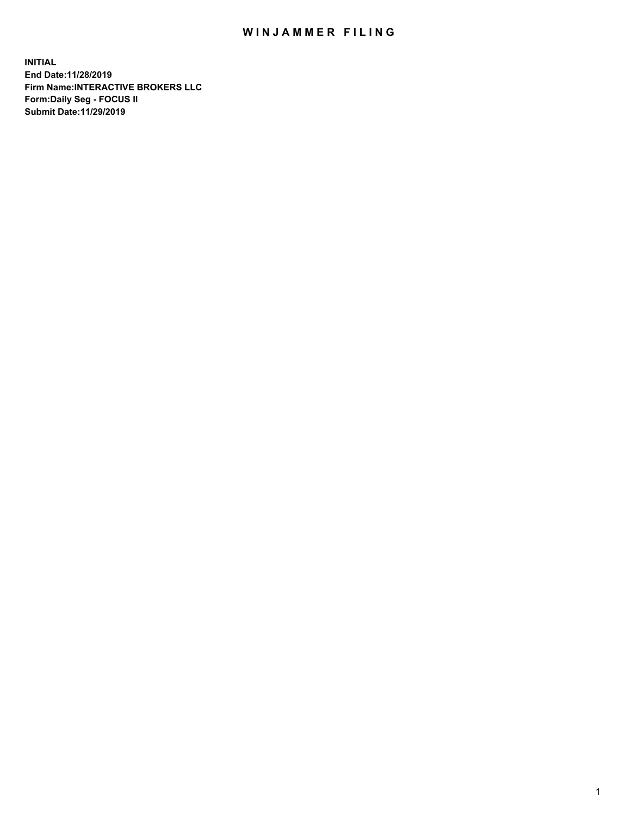## WIN JAMMER FILING

**INITIAL End Date:11/28/2019 Firm Name:INTERACTIVE BROKERS LLC Form:Daily Seg - FOCUS II Submit Date:11/29/2019**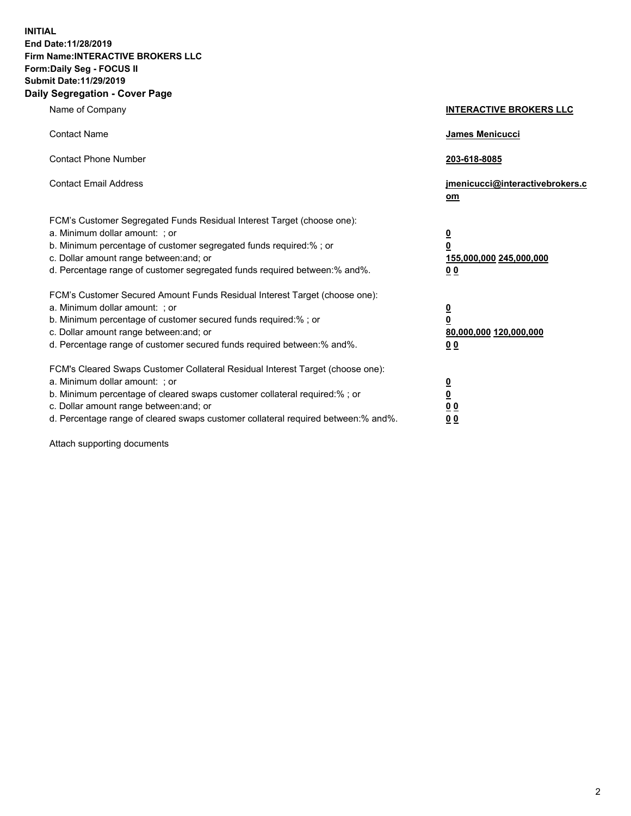**INITIAL End Date:11/28/2019 Firm Name:INTERACTIVE BROKERS LLC Form:Daily Seg - FOCUS II Submit Date:11/29/2019 Daily Segregation - Cover Page**

| Name of Company                                                                                                                                                                                                                                                                                                                | <b>INTERACTIVE BROKERS LLC</b>                                                                  |
|--------------------------------------------------------------------------------------------------------------------------------------------------------------------------------------------------------------------------------------------------------------------------------------------------------------------------------|-------------------------------------------------------------------------------------------------|
| <b>Contact Name</b>                                                                                                                                                                                                                                                                                                            | James Menicucci                                                                                 |
| <b>Contact Phone Number</b>                                                                                                                                                                                                                                                                                                    | 203-618-8085                                                                                    |
| <b>Contact Email Address</b>                                                                                                                                                                                                                                                                                                   | jmenicucci@interactivebrokers.c<br>om                                                           |
| FCM's Customer Segregated Funds Residual Interest Target (choose one):<br>a. Minimum dollar amount: ; or<br>b. Minimum percentage of customer segregated funds required:%; or<br>c. Dollar amount range between: and; or<br>d. Percentage range of customer segregated funds required between:% and%.                          | $\overline{\mathbf{0}}$<br>$\overline{\mathbf{0}}$<br>155,000,000 245,000,000<br>0 <sub>0</sub> |
| FCM's Customer Secured Amount Funds Residual Interest Target (choose one):<br>a. Minimum dollar amount: ; or<br>b. Minimum percentage of customer secured funds required:% ; or<br>c. Dollar amount range between: and; or<br>d. Percentage range of customer secured funds required between:% and%.                           | $\overline{\mathbf{0}}$<br>$\overline{\mathbf{0}}$<br>80,000,000 120,000,000<br>0 <sub>0</sub>  |
| FCM's Cleared Swaps Customer Collateral Residual Interest Target (choose one):<br>a. Minimum dollar amount: ; or<br>b. Minimum percentage of cleared swaps customer collateral required:% ; or<br>c. Dollar amount range between: and; or<br>d. Percentage range of cleared swaps customer collateral required between:% and%. | $\overline{\mathbf{0}}$<br>$\underline{\mathbf{0}}$<br>0 <sub>0</sub><br>0 <sub>0</sub>         |

Attach supporting documents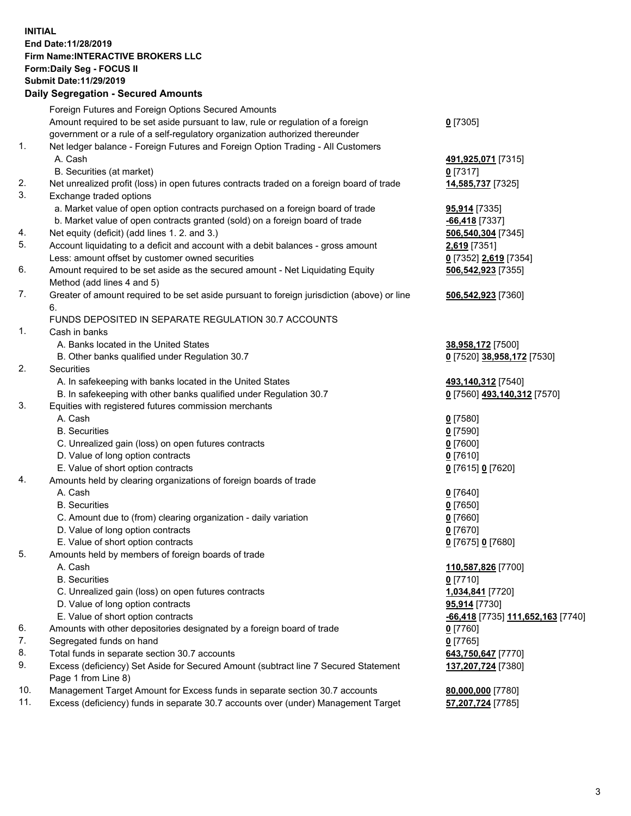## **INITIAL End Date:11/28/2019 Firm Name:INTERACTIVE BROKERS LLC Form:Daily Seg - FOCUS II Submit Date:11/29/2019 Daily Segregation - Secured Amounts**

|     | Daily Segregation - Secured Amounts                                                                                                                               |                                                 |
|-----|-------------------------------------------------------------------------------------------------------------------------------------------------------------------|-------------------------------------------------|
|     | Foreign Futures and Foreign Options Secured Amounts                                                                                                               |                                                 |
|     | Amount required to be set aside pursuant to law, rule or regulation of a foreign                                                                                  | $0$ [7305]                                      |
|     | government or a rule of a self-regulatory organization authorized thereunder                                                                                      |                                                 |
| 1.  | Net ledger balance - Foreign Futures and Foreign Option Trading - All Customers                                                                                   |                                                 |
|     | A. Cash                                                                                                                                                           | 491,925,071 [7315]                              |
|     | B. Securities (at market)                                                                                                                                         | $0$ [7317]                                      |
| 2.  | Net unrealized profit (loss) in open futures contracts traded on a foreign board of trade                                                                         | 14,585,737 [7325]                               |
| 3.  | Exchange traded options                                                                                                                                           |                                                 |
|     | a. Market value of open option contracts purchased on a foreign board of trade                                                                                    | 95,914 [7335]                                   |
|     | b. Market value of open contracts granted (sold) on a foreign board of trade                                                                                      | $-66,418$ [7337]                                |
| 4.  | Net equity (deficit) (add lines 1. 2. and 3.)                                                                                                                     | 506,540,304 [7345]                              |
| 5.  | Account liquidating to a deficit and account with a debit balances - gross amount                                                                                 | 2,619 [7351]                                    |
|     | Less: amount offset by customer owned securities                                                                                                                  | 0 [7352] 2,619 [7354]                           |
| 6.  | Amount required to be set aside as the secured amount - Net Liquidating Equity                                                                                    | 506,542,923 [7355]                              |
|     | Method (add lines 4 and 5)                                                                                                                                        |                                                 |
| 7.  | Greater of amount required to be set aside pursuant to foreign jurisdiction (above) or line                                                                       | 506,542,923 [7360]                              |
|     | 6.                                                                                                                                                                |                                                 |
|     | FUNDS DEPOSITED IN SEPARATE REGULATION 30.7 ACCOUNTS                                                                                                              |                                                 |
| 1.  | Cash in banks                                                                                                                                                     |                                                 |
|     | A. Banks located in the United States                                                                                                                             | 38,958,172 [7500]                               |
|     | B. Other banks qualified under Regulation 30.7                                                                                                                    | 0 [7520] 38,958,172 [7530]                      |
| 2.  | Securities                                                                                                                                                        |                                                 |
|     | A. In safekeeping with banks located in the United States                                                                                                         | 493,140,312 [7540]                              |
|     | B. In safekeeping with other banks qualified under Regulation 30.7                                                                                                | 0 [7560] 493,140,312 [7570]                     |
| 3.  | Equities with registered futures commission merchants                                                                                                             |                                                 |
|     | A. Cash                                                                                                                                                           | $0$ [7580]                                      |
|     | <b>B.</b> Securities                                                                                                                                              | $0$ [7590]                                      |
|     | C. Unrealized gain (loss) on open futures contracts                                                                                                               | $0$ [7600]                                      |
|     | D. Value of long option contracts                                                                                                                                 | $0$ [7610]                                      |
|     | E. Value of short option contracts                                                                                                                                | 0 [7615] 0 [7620]                               |
| 4.  | Amounts held by clearing organizations of foreign boards of trade                                                                                                 |                                                 |
|     | A. Cash                                                                                                                                                           | $0$ [7640]                                      |
|     | <b>B.</b> Securities                                                                                                                                              | $0$ [7650]                                      |
|     | C. Amount due to (from) clearing organization - daily variation                                                                                                   | $0$ [7660]                                      |
|     | D. Value of long option contracts                                                                                                                                 | $0$ [7670]                                      |
|     | E. Value of short option contracts                                                                                                                                | 0 [7675] 0 [7680]                               |
| 5.  | Amounts held by members of foreign boards of trade                                                                                                                |                                                 |
|     | A. Cash                                                                                                                                                           | 110,587,826 [7700]                              |
|     | <b>B.</b> Securities                                                                                                                                              | $0$ [7710]                                      |
|     | C. Unrealized gain (loss) on open futures contracts                                                                                                               | 1,034,841 [7720]                                |
|     | D. Value of long option contracts                                                                                                                                 | 95,914 [7730]                                   |
|     | E. Value of short option contracts                                                                                                                                | <u>-66,418</u> [7735] <u>111,652,163</u> [7740] |
| 6.  | Amounts with other depositories designated by a foreign board of trade                                                                                            | 0 [7760]                                        |
| 7.  | Segregated funds on hand                                                                                                                                          | $0$ [7765]                                      |
| 8.  | Total funds in separate section 30.7 accounts                                                                                                                     | 643,750,647 [7770]                              |
| 9.  | Excess (deficiency) Set Aside for Secured Amount (subtract line 7 Secured Statement                                                                               | 137,207,724 [7380]                              |
| 10. | Page 1 from Line 8)                                                                                                                                               |                                                 |
| 11. | Management Target Amount for Excess funds in separate section 30.7 accounts<br>Excess (deficiency) funds in separate 30.7 accounts over (under) Management Target | 80,000,000 [7780]                               |
|     |                                                                                                                                                                   | 57,207,724 [7785]                               |
|     |                                                                                                                                                                   |                                                 |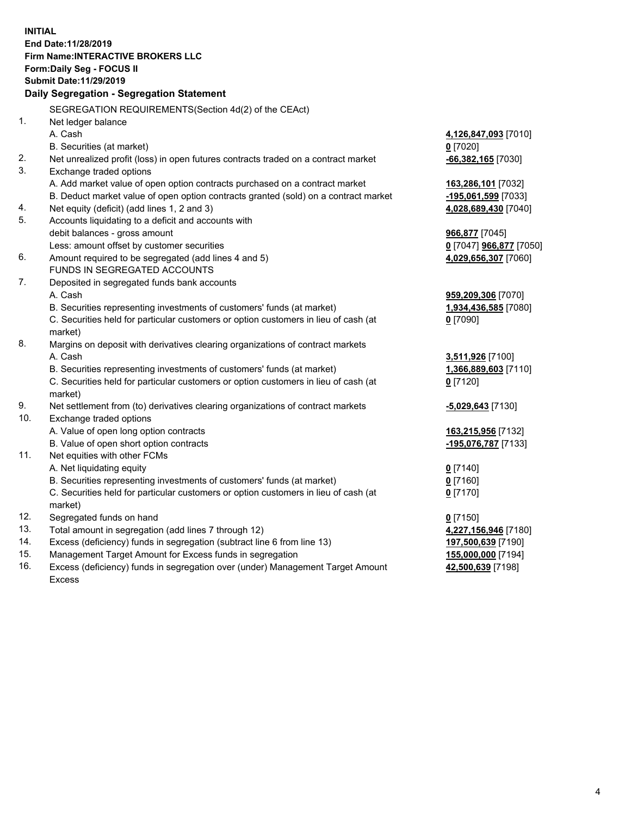**INITIAL End Date:11/28/2019 Firm Name:INTERACTIVE BROKERS LLC Form:Daily Seg - FOCUS II Submit Date:11/29/2019 Daily Segregation - Segregation Statement** SEGREGATION REQUIREMENTS(Section 4d(2) of the CEAct) 1. Net ledger balance A. Cash **4,126,847,093** [7010] B. Securities (at market) **0** [7020] 2. Net unrealized profit (loss) in open futures contracts traded on a contract market **-66,382,165** [7030] 3. Exchange traded options A. Add market value of open option contracts purchased on a contract market **163,286,101** [7032] B. Deduct market value of open option contracts granted (sold) on a contract market **-195,061,599** [7033] 4. Net equity (deficit) (add lines 1, 2 and 3) **4,028,689,430** [7040] 5. Accounts liquidating to a deficit and accounts with debit balances - gross amount **966,877** [7045] Less: amount offset by customer securities **0** [7047] **966,877** [7050] 6. Amount required to be segregated (add lines 4 and 5) **4,029,656,307** [7060] FUNDS IN SEGREGATED ACCOUNTS 7. Deposited in segregated funds bank accounts A. Cash **959,209,306** [7070] B. Securities representing investments of customers' funds (at market) **1,934,436,585** [7080] C. Securities held for particular customers or option customers in lieu of cash (at market) **0** [7090] 8. Margins on deposit with derivatives clearing organizations of contract markets A. Cash **3,511,926** [7100] B. Securities representing investments of customers' funds (at market) **1,366,889,603** [7110] C. Securities held for particular customers or option customers in lieu of cash (at market) **0** [7120] 9. Net settlement from (to) derivatives clearing organizations of contract markets **-5,029,643** [7130] 10. Exchange traded options A. Value of open long option contracts **163,215,956** [7132] B. Value of open short option contracts **-195,076,787** [7133] 11. Net equities with other FCMs A. Net liquidating equity **0** [7140] B. Securities representing investments of customers' funds (at market) **0** [7160] C. Securities held for particular customers or option customers in lieu of cash (at market) **0** [7170] 12. Segregated funds on hand **0** [7150] 13. Total amount in segregation (add lines 7 through 12) **4,227,156,946** [7180] 14. Excess (deficiency) funds in segregation (subtract line 6 from line 13) **197,500,639** [7190] 15. Management Target Amount for Excess funds in segregation **155,000,000** [7194] **42,500,639** [7198]

16. Excess (deficiency) funds in segregation over (under) Management Target Amount Excess